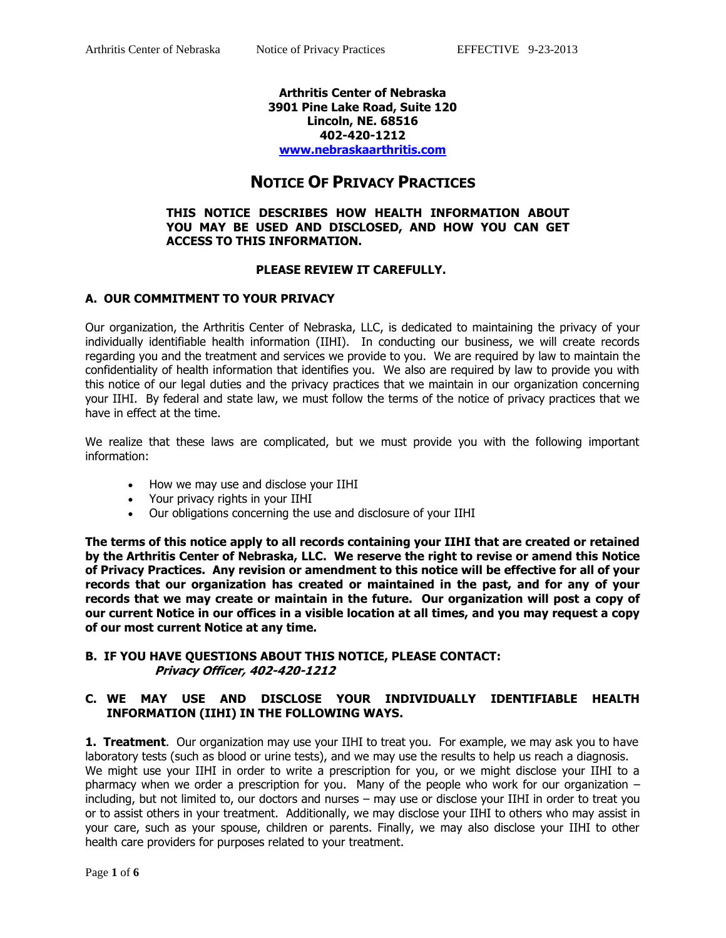#### **Arthritis Center of Nebraska 3901 Pine Lake Road, Suite 120 Lincoln, NE. 68516 402-420-1212 [www.nebraskaarthritis.com](http://www.nebraskaarthritis.com/)**

# **NOTICE OF PRIVACY PRACTICES**

#### **THIS NOTICE DESCRIBES HOW HEALTH INFORMATION ABOUT YOU MAY BE USED AND DISCLOSED, AND HOW YOU CAN GET ACCESS TO THIS INFORMATION.**

## **PLEASE REVIEW IT CAREFULLY.**

## **A. OUR COMMITMENT TO YOUR PRIVACY**

Our organization, the Arthritis Center of Nebraska, LLC, is dedicated to maintaining the privacy of your individually identifiable health information (IIHI). In conducting our business, we will create records regarding you and the treatment and services we provide to you. We are required by law to maintain the confidentiality of health information that identifies you. We also are required by law to provide you with this notice of our legal duties and the privacy practices that we maintain in our organization concerning your IIHI. By federal and state law, we must follow the terms of the notice of privacy practices that we have in effect at the time.

We realize that these laws are complicated, but we must provide you with the following important information:

- How we may use and disclose your IIHI
- Your privacy rights in your IIHI
- Our obligations concerning the use and disclosure of your IIHI

**The terms of this notice apply to all records containing your IIHI that are created or retained by the Arthritis Center of Nebraska, LLC. We reserve the right to revise or amend this Notice of Privacy Practices. Any revision or amendment to this notice will be effective for all of your records that our organization has created or maintained in the past, and for any of your records that we may create or maintain in the future. Our organization will post a copy of our current Notice in our offices in a visible location at all times, and you may request a copy of our most current Notice at any time.**

## **B. IF YOU HAVE QUESTIONS ABOUT THIS NOTICE, PLEASE CONTACT: Privacy Officer, 402-420-1212**

#### **C. WE MAY USE AND DISCLOSE YOUR INDIVIDUALLY IDENTIFIABLE HEALTH INFORMATION (IIHI) IN THE FOLLOWING WAYS.**

**1. Treatment**. Our organization may use your IIHI to treat you. For example, we may ask you to have laboratory tests (such as blood or urine tests), and we may use the results to help us reach a diagnosis. We might use your IIHI in order to write a prescription for you, or we might disclose your IIHI to a pharmacy when we order a prescription for you. Many of the people who work for our organization – including, but not limited to, our doctors and nurses – may use or disclose your IIHI in order to treat you or to assist others in your treatment. Additionally, we may disclose your IIHI to others who may assist in your care, such as your spouse, children or parents. Finally, we may also disclose your IIHI to other health care providers for purposes related to your treatment.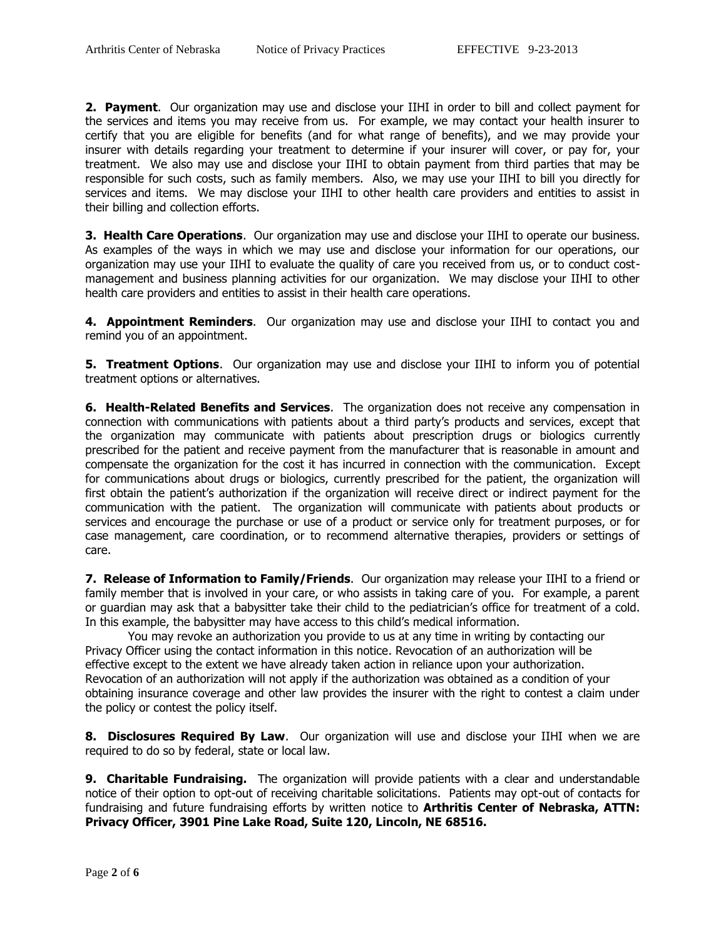**2. Payment**. Our organization may use and disclose your IIHI in order to bill and collect payment for the services and items you may receive from us. For example, we may contact your health insurer to certify that you are eligible for benefits (and for what range of benefits), and we may provide your insurer with details regarding your treatment to determine if your insurer will cover, or pay for, your treatment. We also may use and disclose your IIHI to obtain payment from third parties that may be responsible for such costs, such as family members. Also, we may use your IIHI to bill you directly for services and items. We may disclose your IIHI to other health care providers and entities to assist in their billing and collection efforts.

**3. Health Care Operations**. Our organization may use and disclose your IIHI to operate our business. As examples of the ways in which we may use and disclose your information for our operations, our organization may use your IIHI to evaluate the quality of care you received from us, or to conduct costmanagement and business planning activities for our organization. We may disclose your IIHI to other health care providers and entities to assist in their health care operations.

**4. Appointment Reminders**. Our organization may use and disclose your IIHI to contact you and remind you of an appointment.

**5. Treatment Options**. Our organization may use and disclose your IIHI to inform you of potential treatment options or alternatives.

**6. Health-Related Benefits and Services**. The organization does not receive any compensation in connection with communications with patients about a third party's products and services, except that the organization may communicate with patients about prescription drugs or biologics currently prescribed for the patient and receive payment from the manufacturer that is reasonable in amount and compensate the organization for the cost it has incurred in connection with the communication. Except for communications about drugs or biologics, currently prescribed for the patient, the organization will first obtain the patient's authorization if the organization will receive direct or indirect payment for the communication with the patient. The organization will communicate with patients about products or services and encourage the purchase or use of a product or service only for treatment purposes, or for case management, care coordination, or to recommend alternative therapies, providers or settings of care.

**7. Release of Information to Family/Friends**. Our organization may release your IIHI to a friend or family member that is involved in your care, or who assists in taking care of you. For example, a parent or guardian may ask that a babysitter take their child to the pediatrician's office for treatment of a cold. In this example, the babysitter may have access to this child's medical information.

You may revoke an authorization you provide to us at any time in writing by contacting our Privacy Officer using the contact information in this notice. Revocation of an authorization will be effective except to the extent we have already taken action in reliance upon your authorization. Revocation of an authorization will not apply if the authorization was obtained as a condition of your obtaining insurance coverage and other law provides the insurer with the right to contest a claim under the policy or contest the policy itself.

**8. Disclosures Required By Law**. Our organization will use and disclose your IIHI when we are required to do so by federal, state or local law.

**9. Charitable Fundraising.** The organization will provide patients with a clear and understandable notice of their option to opt-out of receiving charitable solicitations. Patients may opt-out of contacts for fundraising and future fundraising efforts by written notice to **Arthritis Center of Nebraska, ATTN: Privacy Officer, 3901 Pine Lake Road, Suite 120, Lincoln, NE 68516.**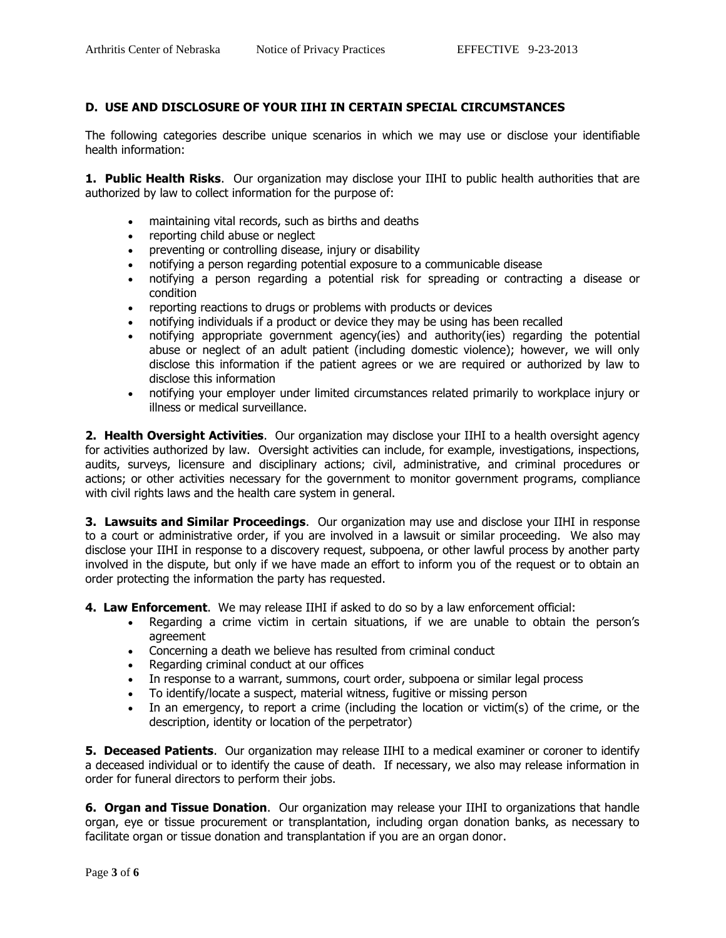# **D. USE AND DISCLOSURE OF YOUR IIHI IN CERTAIN SPECIAL CIRCUMSTANCES**

The following categories describe unique scenarios in which we may use or disclose your identifiable health information:

**1. Public Health Risks.** Our organization may disclose your IIHI to public health authorities that are authorized by law to collect information for the purpose of:

- maintaining vital records, such as births and deaths
- reporting child abuse or neglect
- preventing or controlling disease, injury or disability
- notifying a person regarding potential exposure to a communicable disease
- notifying a person regarding a potential risk for spreading or contracting a disease or condition
- reporting reactions to drugs or problems with products or devices
- notifying individuals if a product or device they may be using has been recalled
- notifying appropriate government agency(ies) and authority(ies) regarding the potential abuse or neglect of an adult patient (including domestic violence); however, we will only disclose this information if the patient agrees or we are required or authorized by law to disclose this information
- notifying your employer under limited circumstances related primarily to workplace injury or illness or medical surveillance.

**2. Health Oversight Activities**. Our organization may disclose your IIHI to a health oversight agency for activities authorized by law. Oversight activities can include, for example, investigations, inspections, audits, surveys, licensure and disciplinary actions; civil, administrative, and criminal procedures or actions; or other activities necessary for the government to monitor government programs, compliance with civil rights laws and the health care system in general.

**3. Lawsuits and Similar Proceedings**. Our organization may use and disclose your IIHI in response to a court or administrative order, if you are involved in a lawsuit or similar proceeding. We also may disclose your IIHI in response to a discovery request, subpoena, or other lawful process by another party involved in the dispute, but only if we have made an effort to inform you of the request or to obtain an order protecting the information the party has requested.

**4. Law Enforcement**. We may release IIHI if asked to do so by a law enforcement official:

- Regarding a crime victim in certain situations, if we are unable to obtain the person's agreement
- Concerning a death we believe has resulted from criminal conduct
- Regarding criminal conduct at our offices
- In response to a warrant, summons, court order, subpoena or similar legal process
- To identify/locate a suspect, material witness, fugitive or missing person
- In an emergency, to report a crime (including the location or victim(s) of the crime, or the description, identity or location of the perpetrator)

**5. Deceased Patients**. Our organization may release IIHI to a medical examiner or coroner to identify a deceased individual or to identify the cause of death. If necessary, we also may release information in order for funeral directors to perform their jobs.

**6. Organ and Tissue Donation**. Our organization may release your IIHI to organizations that handle organ, eye or tissue procurement or transplantation, including organ donation banks, as necessary to facilitate organ or tissue donation and transplantation if you are an organ donor.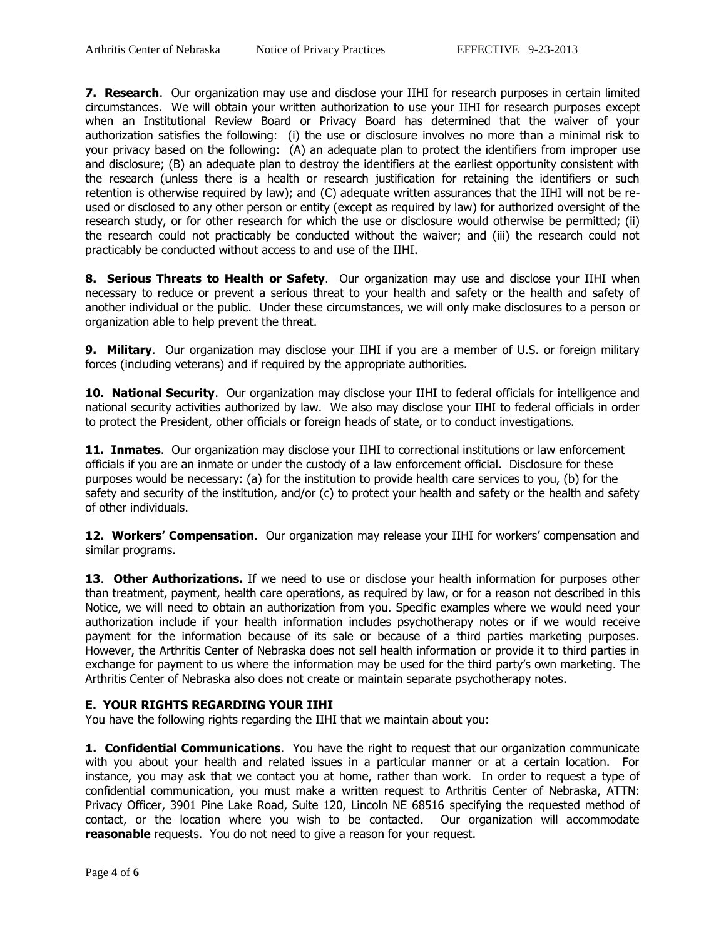**7. Research**. Our organization may use and disclose your IIHI for research purposes in certain limited circumstances. We will obtain your written authorization to use your IIHI for research purposes except when an Institutional Review Board or Privacy Board has determined that the waiver of your authorization satisfies the following: (i) the use or disclosure involves no more than a minimal risk to your privacy based on the following: (A) an adequate plan to protect the identifiers from improper use and disclosure; (B) an adequate plan to destroy the identifiers at the earliest opportunity consistent with the research (unless there is a health or research justification for retaining the identifiers or such retention is otherwise required by law); and (C) adequate written assurances that the IIHI will not be reused or disclosed to any other person or entity (except as required by law) for authorized oversight of the research study, or for other research for which the use or disclosure would otherwise be permitted; (ii) the research could not practicably be conducted without the waiver; and (iii) the research could not practicably be conducted without access to and use of the IIHI.

**8. Serious Threats to Health or Safety**. Our organization may use and disclose your IIHI when necessary to reduce or prevent a serious threat to your health and safety or the health and safety of another individual or the public. Under these circumstances, we will only make disclosures to a person or organization able to help prevent the threat.

**9. Military**. Our organization may disclose your IIHI if you are a member of U.S. or foreign military forces (including veterans) and if required by the appropriate authorities.

**10. National Security**. Our organization may disclose your IIHI to federal officials for intelligence and national security activities authorized by law. We also may disclose your IIHI to federal officials in order to protect the President, other officials or foreign heads of state, or to conduct investigations.

**11. Inmates.** Our organization may disclose your IIHI to correctional institutions or law enforcement officials if you are an inmate or under the custody of a law enforcement official. Disclosure for these purposes would be necessary: (a) for the institution to provide health care services to you, (b) for the safety and security of the institution, and/or (c) to protect your health and safety or the health and safety of other individuals.

12. Workers' Compensation. Our organization may release your IIHI for workers' compensation and similar programs.

**13. Other Authorizations.** If we need to use or disclose your health information for purposes other than treatment, payment, health care operations, as required by law, or for a reason not described in this Notice, we will need to obtain an authorization from you. Specific examples where we would need your authorization include if your health information includes psychotherapy notes or if we would receive payment for the information because of its sale or because of a third parties marketing purposes. However, the Arthritis Center of Nebraska does not sell health information or provide it to third parties in exchange for payment to us where the information may be used for the third party's own marketing. The Arthritis Center of Nebraska also does not create or maintain separate psychotherapy notes.

#### **E. YOUR RIGHTS REGARDING YOUR IIHI**

You have the following rights regarding the IIHI that we maintain about you:

**1. Confidential Communications**. You have the right to request that our organization communicate with you about your health and related issues in a particular manner or at a certain location. For instance, you may ask that we contact you at home, rather than work. In order to request a type of confidential communication, you must make a written request to Arthritis Center of Nebraska, ATTN: Privacy Officer, 3901 Pine Lake Road, Suite 120, Lincoln NE 68516 specifying the requested method of contact, or the location where you wish to be contacted. Our organization will accommodate **reasonable** requests. You do not need to give a reason for your request.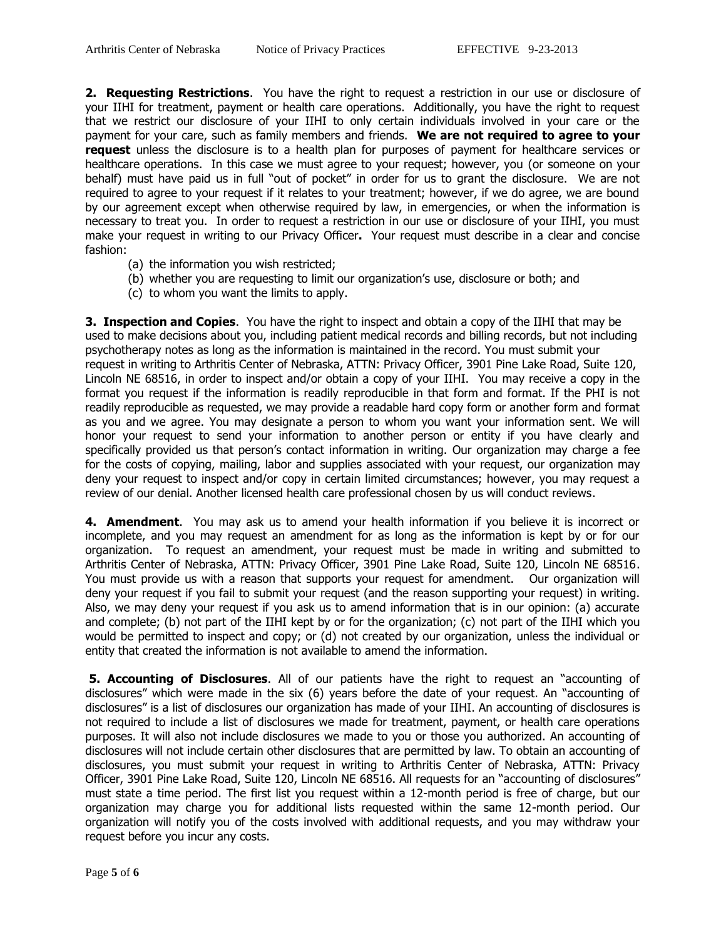**2. Requesting Restrictions**. You have the right to request a restriction in our use or disclosure of your IIHI for treatment, payment or health care operations. Additionally, you have the right to request that we restrict our disclosure of your IIHI to only certain individuals involved in your care or the payment for your care, such as family members and friends. **We are not required to agree to your request** unless the disclosure is to a health plan for purposes of payment for healthcare services or healthcare operations. In this case we must agree to your request; however, you (or someone on your behalf) must have paid us in full "out of pocket" in order for us to grant the disclosure. We are not required to agree to your request if it relates to your treatment; however, if we do agree, we are bound by our agreement except when otherwise required by law, in emergencies, or when the information is necessary to treat you. In order to request a restriction in our use or disclosure of your IIHI, you must make your request in writing to our Privacy Officer**.** Your request must describe in a clear and concise fashion:

- (a) the information you wish restricted;
- (b) whether you are requesting to limit our organization's use, disclosure or both; and
- (c) to whom you want the limits to apply.

**3. Inspection and Copies**. You have the right to inspect and obtain a copy of the IIHI that may be used to make decisions about you, including patient medical records and billing records, but not including psychotherapy notes as long as the information is maintained in the record. You must submit your request in writing to Arthritis Center of Nebraska, ATTN: Privacy Officer, 3901 Pine Lake Road, Suite 120, Lincoln NE 68516, in order to inspect and/or obtain a copy of your IIHI. You may receive a copy in the format you request if the information is readily reproducible in that form and format. If the PHI is not readily reproducible as requested, we may provide a readable hard copy form or another form and format as you and we agree. You may designate a person to whom you want your information sent. We will honor your request to send your information to another person or entity if you have clearly and specifically provided us that person's contact information in writing. Our organization may charge a fee for the costs of copying, mailing, labor and supplies associated with your request, our organization may deny your request to inspect and/or copy in certain limited circumstances; however, you may request a review of our denial. Another licensed health care professional chosen by us will conduct reviews.

**4. Amendment**. You may ask us to amend your health information if you believe it is incorrect or incomplete, and you may request an amendment for as long as the information is kept by or for our organization. To request an amendment, your request must be made in writing and submitted to Arthritis Center of Nebraska, ATTN: Privacy Officer, 3901 Pine Lake Road, Suite 120, Lincoln NE 68516. You must provide us with a reason that supports your request for amendment. Our organization will deny your request if you fail to submit your request (and the reason supporting your request) in writing. Also, we may deny your request if you ask us to amend information that is in our opinion: (a) accurate and complete; (b) not part of the IIHI kept by or for the organization; (c) not part of the IIHI which you would be permitted to inspect and copy; or (d) not created by our organization, unless the individual or entity that created the information is not available to amend the information.

**5. Accounting of Disclosures**. All of our patients have the right to request an "accounting of disclosures" which were made in the six (6) years before the date of your request. An "accounting of disclosures" is a list of disclosures our organization has made of your IIHI. An accounting of disclosures is not required to include a list of disclosures we made for treatment, payment, or health care operations purposes. It will also not include disclosures we made to you or those you authorized. An accounting of disclosures will not include certain other disclosures that are permitted by law. To obtain an accounting of disclosures, you must submit your request in writing to Arthritis Center of Nebraska, ATTN: Privacy Officer, 3901 Pine Lake Road, Suite 120, Lincoln NE 68516. All requests for an "accounting of disclosures" must state a time period. The first list you request within a 12-month period is free of charge, but our organization may charge you for additional lists requested within the same 12-month period. Our organization will notify you of the costs involved with additional requests, and you may withdraw your request before you incur any costs.